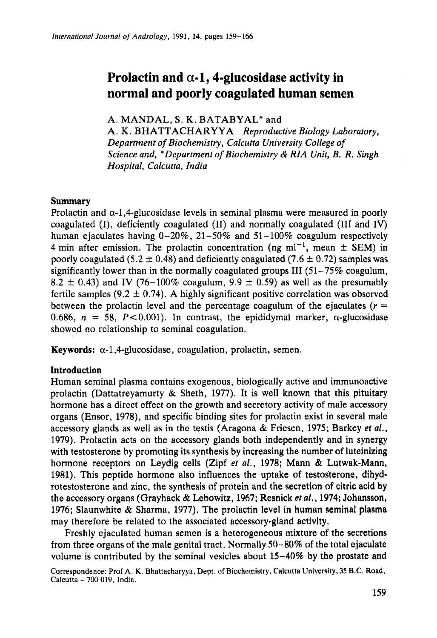# Prolactin and  $\alpha$ -1, 4-glucosidase activity in **normal and poorly coagulated human semen**

A. MANDAL, **S.** K. BATABYAL\* and

A. K. BHATTACHARYYA *Reproductive Biology Laboratory,*  **Prolactin and**  $\alpha$ **-1, 4-glucosidase activity in**<br>**normal and poorly coagulated human semen**<br>*A. MANDAL, S. K. BATABYAL\** and<br>*A. K. BHATTACHARYYA Reproductive Biology Laboratory,<br><i>Department of Biochemistry, Calcutta Univ* **normal and poorly coagulated human semen**<br>*A. MANDAL, S. K. BATABYAL*\* and<br>*A. K. BHATTACHARYYA Reproductive Biology Laboratory,*<br>*Department of Biochemistry, Calcutta University College of*<br>*Science and, \* Department of Hospital, Calcutta, India A. K. BATABYAL\** and *A. K. BHATTACHARYYA Reproductive Biology Laboratory, Department of Biochemistry, Calcutta University College of Science and, \*Department of Biochemistry & RIA Unit, B. R. Si* 

# **Summary**

Prolactin and  $\alpha$ -1,4-glucosidase levels in seminal plasma were measured in poorly coagulated (I), deficiently coagulated (11) and normally coagulated (I11 and IV) human ejaculates having 0-20%, 21-50% and 51-100% coagulum respectively 4 min after emission. The prolactin concentration (ng ml<sup>-1</sup>, mean  $\pm$  SEM) in Summary<br>Prolactin and  $\alpha$ -1,4-glucosidase levels in seminal plasma were measured in poorly<br>coagulated (I), deficiently coagulated (II) and normally coagulated (III and IV)<br>human ejaculates having 0–20%, 21–50% and 51–100 poorly coagulated (5.2  $\pm$  0.48) and deficiently coagulated (7.6  $\pm$  0.72) samples was significantly lower than in the normally coagulated groups III  $(51-75\% \text{ coagulum})$ . 8.2  $\pm$  0.43) and IV (76-100% coagulum, 9.9  $\pm$  0.59) as well as the presumably fertile samples (9.2  $\pm$  0.74). A highly significant positive correlation was observed between the prolactin level and the percentage coagulum of the ejaculates  $(r =$ 0.686,  $n = 58$ ,  $P < 0.001$ ). In contrast, the epididymal marker,  $\alpha$ -glucosidase showed no relationship to seminal coagulation. **Keywords:**  $\alpha$ -1,4-glucosidase, coagulation, prolactin, semen.<br> **Keywords:**  $\alpha$ -1,4-glucosidase, coagulation, prolactin, semen.<br> **Keywords:**  $\alpha$ -1,4-glucosidase, coagulation, prolactin, semen.<br> **Coacidation** 

# **Introduction**

Human seminal plasma contains exogenous, biologically active and immunoactive prolactin (Dattatreyamurty  $\&$  Sheth, 1977). It is well known that this pituitary hormone has a direct effect on the growth and secretory activity of male accessory organs (Ensor, 1978), and specific binding sites for prolactin exist in several male accessory glands as well as in the testis (Aragona & Friesen, 1975; Barkey *et af.,*  1979). Prolactin acts on the accessory glands both independently and in synergy with testosterone by promoting its synthesis by increasing the number of luteinizing hormone receptors on Leydig cells (Zipf *et al.,* 1978; Mann & Lutwak-Mann, 1981). This peptide hormone also influences the uptake of testosterone, dihydrotestosterone and zinc, the synthesis of protein and the secretion of citric acid by accessory glands as well as in the testis (Aragona & Friesen, 1975; Barkey *et al.*, 1979). Prolactin acts on the accessory glands both independently and in synergy with testosterone by promoting its synthesis by increasin 1976; Slaunwhite & Sharma, 1977). The prolactin level in human seminal plasma may therefore be related to the associated accessory-gland activity.

Freshly ejaculated human semen is a heterogeneous mixture of the secretions from three organs of the male genital tract. Normally **SO-80%** of the total ejaculate volume is contributed by the seminal vesicles about  $15-40\%$  by the prostate and

Correspondence: Prof **A.** K. Bhattacharyya. Dept. of Biochemistry, Calcutta University, **35** B.C. Road,  $Calcutta - 700019$ , India.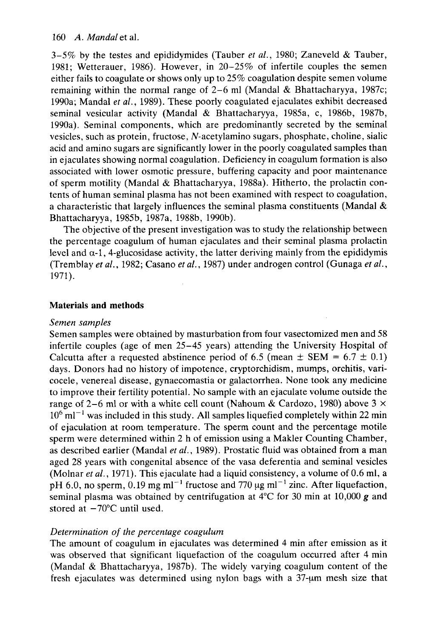160 A. Mandal et al.<br>3-5% by the testes and epididymides (Tauber *et al.*, 1980; Zaneveld & Tauber, 3-5% by the testes and epididymides (Tauber *et al.*, 1980; Zaneveld & Tauber,<br>3-5% by the testes and epididymides (Tauber *et al.*, 1980; Zaneveld & Tauber,<br>1981; Wetterauer, 1986). However, in 20-25% of infertile couple 1981; Wetterauer, 1986). However, in 20-25% of infertile couples the semen either fails to coagulate or shows only up to  $25\%$  coagulation despite semen volume remaining within the normal range of 2-6 ml (Mandal & Bhattacharyya, 1987c; 1990a; Mandal *et* af., 1989). These poorly coagulated ejaculates exhibit decreased seminal vesicular activity (Mandal & Bhattacharyya, 1985a, c, 1986b, 1987b, 1990a). Seminal components, which are predominantly secreted by the seminal vesicles, such as protein, fructose, N-acetylamino sugars, phosphate, choline, sialic acid and amino sugars are significantly lower in the poorly coagulated samples than in ejaculates showing normal coagulation. Deficiency in coagulum formation is also associated with lower osmotic pressure, buffering capacity and poor maintenance of sperm motility (Mandal & Bhattacharyya, 1988a). Hitherto, the prolactin contents of human seminal plasma has not been examined with respect to coagulation, a characteristic that largely influences the seminal plasma constituents (Mandal  $\&$ Bhattacharyya, 1985b, 1987a, 1988b, 1990b).

The objective of the present investigation was to study the relationship between the percentage coagulum of human ejaculates and their seminal plasma prolactin or sperm mounty (wiandal  $\alpha$  Bilattacharyya, 1968a). Fritherto, the prolactin contents of human seminal plasma has not been examined with respect to coagulation, a characteristic that largely influences the seminal plasm (Tremblay *et* af., 1982; Casano *et* af., 1987) under androgen control (Gunaga *ef* af., a characteristic that largely influences the seminal plasma constituents (Mandal &<br>Bhattacharyya, 1985b, 1987a, 1988b, 1990b).<br>The objective of the present investigation was to study the relationship between<br>the percentage

### **Materials and methods**

#### *Semen samples*

Semen samples were obtained by masturbation from four vasectomized men and 58 infertile couples (age of men 25–45 years) attending the University Hospital of Calcutta after a requested abstinence period of 6.5 (mean  $\pm$  SEM = 6.7  $\pm$  0.1) Materials and methods<br>Semen samples<br>Semen samples were obtained by masturbation from four vasectomized men and 58<br>infertile couples (age of men 25–45 years) attending the University Hospital of<br>Calcutta after a requested days. Donors had no history of impotence, cryptorchidism, mumps, orchitis, varicocele, venereal disease, gynaecomastia or galactorrhea. None took any medicine to improve their fertility potential. No sample with an ejaculate volume outside the range of 2-6 ml or with a white cell count (Nahoum & Cardozo, 1980) above **3** X  $10^6$  ml<sup>-1</sup> was included in this study. All samples liquefied completely within 22 min of ejaculation at room temperature. The sperm count and the percentage motile sperm were determined within 2 h of emission using a Makler Counting Chamber, as described earlier (Mandal *et al.,* 1989). Prostatic fluid was obtained from a man aged 28 years with congenital absence of the vasa deferentia and seminal vesicles (Molnar *et al.,* 1971). This ejaculate had a liquid consistency, a volume of 0.6 ml, a pH 6.0, no sperm, 0.19 mg ml<sup>-1</sup> fructose and 770  $\mu$ g ml<sup>-1</sup> zinc. After liquefaction, seminal plasma was obtained by centrifugation at 4°C for 30 min at 10,000 **g** and stored at  $-70^{\circ}$ C until used.

### *Determination of the percentage coagulum*

The amount of coagulum in ejaculates was determined 4 min after emission as it was observed that significant liquefaction of the coagulum occurred after **4** min (Mandal & Bhattacharyya, 1987b). The widely varying coagulum content of the fresh ejaculates was determined using nylon bags with a 37-um mesh size that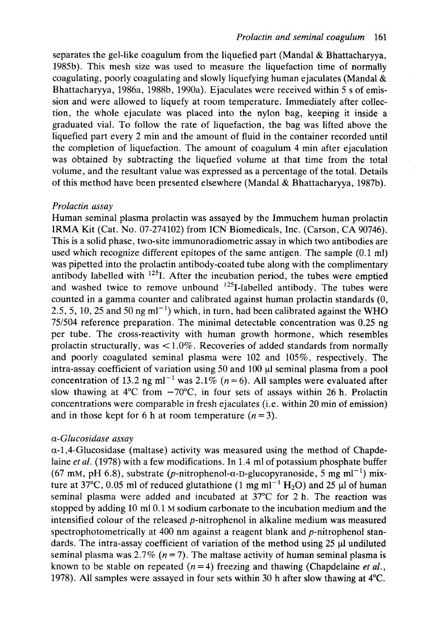*Prolactin and seminal coagulum* 161<br>efied part (Mandal & Bhattacharyya, Frolactin and seminal coagulum 161<br>separates the gel-like coagulum from the liquefied part (Mandal & Bhattacharyya,<br>1985b). This mesh size was used to measure the liquefaction time of normally 1985b). This mesh size was used to measure the liquefaction time of normally coagulating, poorly coagulating and slowly liquefying human ejaculates (Mandal & Bhattacharyya, 1986a, 1988b, 1990a). Ejaculates were received within 5 s of emis-**Prolactin and seminal coagulum 161**<br>separates the gel-like coagulum from the liquefied part (Mandal & Bhattacharyya,<br>1985b). This mesh size was used to measure the liquefaction time of normally<br>coagulating, poorly coagula sion and were allowed to liquefy at room temperature. Immediately after collection, the whole ejaculate was placed into the nylon bag, keeping it inside a graduated vial. To follow the rate of liquefaction, the bag was lifted above the liquefied part every 2 min and the amount of fluid in the container recorded until the completion of liquefaction. The amount of coagulum 4 min after ejaculation was obtained by subtracting the liquefied volume at that time from the total volume, and the resultant value was expressed as a percentage of the total. Details of this method have been presented elsewhere (Mandal & Bhattacharyya, 1987b).

### *Prolactin assay*

Human seminal plasma prolactin was assayed by the Immuchem human prolactin IRMA Kit (Cat. No. 07-274102) from ICN Biomedicals, Inc. (Carson, CA 90746). This is a solid phase, two-site immunoradiometric assay in which two antibodies are used which recognize different epitopes of the same antigen. The sample (0.1 ml) was pipetted into the prolactin antibody-coated tube along with the complimentary antibody labelled with  $125$ <sub>I</sub>. After the incubation period, the tubes were emptied and washed twice to remove unbound <sup>125</sup>I-labelled antibody. The tubes were counted in a gamma counter and calibrated against human prolactin standards (0, 2.5, 5, 10, 25 and 50 ng ml<sup> $-1$ </sup>) which, in turn, had been calibrated against the WHO 75/504 reference preparation. The minimal detectable concentration was 0.25 ng per tube. The cross-reactivity with human growth hormone, which resembles prolactin structurally, was  $\lt 1.0\%$ . Recoveries of added standards from normally and poorly coagulated seminal plasma were 102 and 105%, respectively. The  $intra$ -assay coefficient of variation using 50 and 100  $\mu$ l seminal plasma from a pool concentration of 13.2 ng ml<sup>-1</sup> was 2.1% ( $n = 6$ ). All samples were evaluated after slow thawing at  $4^{\circ}$ C from  $-70^{\circ}$ C, in four sets of assays within 26 h. Prolactin concentrations were comparable in fresh ejaculates (i.e. within 20 min of emission) and in those kept for 6 h at room temperature  $(n=3)$ .

### *a-Glucosidase assay*

 $\alpha$ -1,4-Glucosidase (maltase) activity was measured using the method of Chapdelaine *et al.* (1978) with a few modifications. In 1.4 ml of potassium phosphate buffer concentrations were comparable in tresh ejaculates (i.e. within 20 min or emission)<br>and in those kept for 6 h at room temperature  $(n=3)$ .<br> $\alpha$ -Glucosidase assay<br> $\alpha$ -1,4-Glucosidase (maltase) activity was measured using t ture at  $37^{\circ}$ C, 0.05 ml of reduced glutathione (1 mg ml<sup>-1</sup> H<sub>2</sub>O) and 25 µl of human seminal plasma were added and incubated at  $37^{\circ}$ C for 2 h. The reaction was stopped by adding  $10 \text{ ml } 0.1$  M sodium carbonate to the incubation medium and the intensified colour of the released  $p$ -nitrophenol in alkaline medium was measured spectrophotometrically at 400 nm against a reagent blank and p-nitrophenol standards. The intra-assay coefficient of variation of the method using  $25 \mu l$  undiluted seminal plasma was  $2.7\%$  ( $n = 7$ ). The maltase activity of human seminal plasma is known to be stable on repeated  $(n=4)$  freezing and thawing (Chapdelaine *et al.*, 1978). All samples were assayed in four sets within 30 h after slow thawing at **4°C.**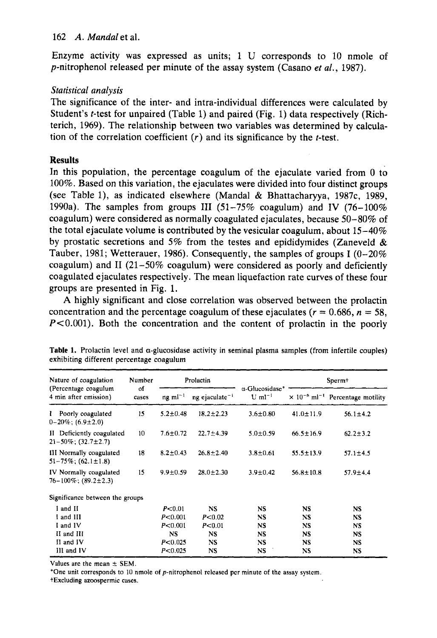162 A. Mandal et al.<br>Enzyme activity was expressed as units; 1 U corresponds to 10 nmole of Enzyme activity was expressed as units; 1 U corresponds to 10 nmole of p-nitrophenol released per minute of the assay system (Casano et al., 1987).

# Statistical analysis

The significance of the inter- and intra-individual differences were calculated by Student's t-test for unpaired (Table 1) and paired (Fig. 1) data respectively (Richterich, 1969). The relationship between two variables was determined by calculation of the correlation coefficient  $(r)$  and its significance by the t-test. **zyxwvutsrqponmlkjihgfedcbaZYXWVUTSRQPONMLKJIHGFEDCBA**

# **Results**

In this population, the percentage coagulum of the ejaculate varied from 0 to 100%. Based on this variation, the ejaculates were divided into four distinct groups *(see Table 1),* are relationship between two variables was determined by calculation of the correlation coefficient (*r*) and its significance by the *t*-test.<br>**Results**<br>In this population, the percentage coagulum of the 1990a). The samples from groups **I11** (51-75% coagulum) and **IV** (76-100% coagulum) were considered as normally coagulated ejaculates, because  $50-80\%$  of the total ejaculate volume is contributed by the vesicular coagulum, about  $15-40\%$ by prostatic secretions and 5% from the testes and epididymides (Zaneveld  $\&$ Tauber, 1981; Wetterauer, 1986). Consequently, the samples of groups I  $(0-20\%$ coagulum) and **I1** (21-50% coagulum) were considered as poorly and deficiently coagulated ejaculates respectively. The mean liquefaction rate curves of these four groups are presented in Fig. 1. by prostatic secretions and 5% from the testes and epididymides (Zaneveld & Tauber, 1981; Wetterauer, 1986). Consequently, the samples of groups I (0-20% coagulum) and II (21-50% coagulum) were considered as poorly and de

**A** highly significant and close correlation was observed between the prolactin  $P<0.001$ ). Both the concentration and the content of prolactin in the poorly

| Table 1. Prolactin level and $\alpha$ -glucosidase activity in seminal plasma samples (from infertile couples)<br>exhibiting different percentage coagulum                                |                 |                                                                                                      |                                                                                                                    |                                                                                                                       |                                                                                             |
|-------------------------------------------------------------------------------------------------------------------------------------------------------------------------------------------|-----------------|------------------------------------------------------------------------------------------------------|--------------------------------------------------------------------------------------------------------------------|-----------------------------------------------------------------------------------------------------------------------|---------------------------------------------------------------------------------------------|
| مواد التقاعم الكامل الكشمون المسموكا الشمولا الشامل الانتخاب الكذيل ومناقل المواد المتواد المتواد المتحد المتخذ<br>Nature of coagulation<br>(Percentage coagulum<br>4 min after emission) | Number<br>cases | Prolactin<br>$\alpha$ -Glucosidase* $\rightarrow$<br>$mg \text{ ml}^{-1}$ ng ejaculate <sup>-1</sup> |                                                                                                                    | ي المستقبل المستقبل الأنسان الأسبان الأسادة المقرر الأنابي التاكرين التاكرين المستور المستور التاكرين المستور المستور | Sperm+<br>U ml <sup>-1</sup> $\times$ 10 <sup>-6</sup> ml <sup>-1</sup> Percentage motility |
| Poorly coagulated<br>$0-20\%$ ; (6.9±2.0)                                                                                                                                                 |                 | $18.2 \pm 2.23$<br>$5.2 \pm 0.48$                                                                    | $3.6 \pm 0.80$                                                                                                     | $41.0 \pm 11.9$ $56.1 \pm 4.2$                                                                                        |                                                                                             |
| II Deficiently coagulated<br>$21 - 50\%$ ; $(32.7 \pm 2.7)$                                                                                                                               |                 | $22.7 \pm 4.39$<br>$7.6 \pm 0.72$                                                                    | $5.0 \pm 0.59$                                                                                                     | $66.5 \pm 16.9$                                                                                                       | $62.2 \pm 3.2$                                                                              |
| III Normally coagulated<br>$51-75\%$ ; $(62.1\pm1.8)$                                                                                                                                     |                 | $8.2 \pm 0.43$ $26.8 \pm 2.40$                                                                       | $3.8 \pm 0.61$                                                                                                     | $55.5 \pm 13.9$                                                                                                       | $57.1 \pm 4.5$                                                                              |
| IV Normally coagulated<br>$76 - 100\%$ ; (89.2±2.3)                                                                                                                                       |                 | $28.0 \pm 2.30$<br>$9.9 + 0.59$                                                                      | $3.9 \pm 0.42$                                                                                                     | $56.8 \pm 10.8$                                                                                                       | $57.9 \pm 4.4$                                                                              |
| Significance between the groups                                                                                                                                                           |                 |                                                                                                      |                                                                                                                    |                                                                                                                       |                                                                                             |
| I and II<br>I and III<br>I and IV<br>II and III<br>II and IV<br>III and IV                                                                                                                |                 | P <sub>0.01</sub><br>P<0.001<br>P< 0.02<br>P<0.001<br>P< 0.01<br>P<0.025<br>P<0.025                  |                                                                                                                    |                                                                                                                       |                                                                                             |
| Values are the mean $\pm$ SEM.<br>*One unit corresponds to 10 nmole of $p$ -nitrophenol released per minute of the assay system.<br>†Excluding azoospermic cases.                         |                 |                                                                                                      | لموالا بالمواصل والمساود المستحق المتحالف فاستعمل فالمستحق المنصابات الماصا أأخاص الفراس والخارا مسالفا الماركاتان |                                                                                                                       |                                                                                             |

**Table 1. Prolactin level and a-glucosidase activity in seminal plasma samples (from infertile couples) exhibiting different percentage coagulum** 

**+Excluding azoospermic cases.**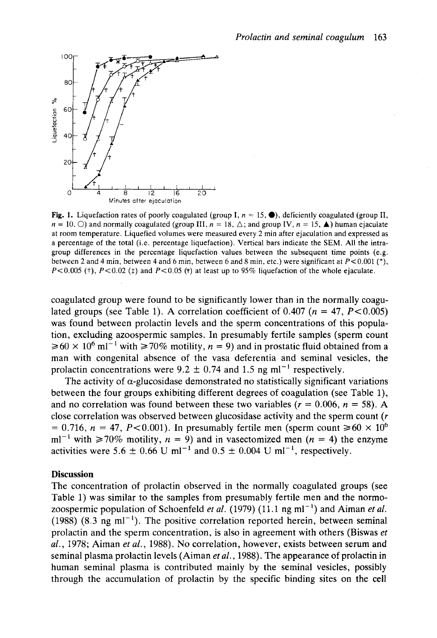

1. Liquefaction rates of poorly coagulated (group I,  $n = 15$ ,  $\bullet$ ), deficiently coagulated (group II,  $n = 18$ ,  $\triangle$ ; and group IV,  $n = 15$ ,  $\bullet$ ) human ejaculate *<sup>n</sup>*= 10.0) and normally coagulated (group **111,** *n* = 18, A; and group IV, **n** = 15, **A) zyxwvutsrqponmlkjihgfedcbaZYXWVUTSRQPONMLKJIHGFEDCBA** human ejaculate at room temperature. Liquefied volumes were measured every 2 min after ejaculation and expressed as a percentage of the total (i.e. percentage liquefaction). Vertical bars indicate the **SEM.** All the intragroup differences in the percentage liquefaction values between the subsequent time points (e.g. between 2 and 4 min, between 4 and 6 min, between 6 and 8 min, etc.) were significant at  $P < 0.001$  (\*),  $P < 0.005$  ( $\uparrow$ ),  $P < 0.02$  ( $\uparrow$ ) and  $P < 0.05$  ( $\uparrow$ ) at least up to 95% liquefaction of the whole ejaculate.

coagulated group were found to be significantly lower than in the normally coagulated groups (see Table 1). A correlation coefficient of  $0.407$  ( $n = 47, P < 0.005$ ) was found between prolactin levels and the sperm concentrations of this population, excluding azoospermic samples. In presumably fertile samples (sperm count  $\geq 60 \times 10^6$  ml<sup>-1</sup> with  $\geq 70\%$  motility, *n* = 9) and in prostatic fluid obtained from a man with congenital absence of the vasa deferentia and seminal vesicles, the coagulated group were found to be significantly lower than in the normally coagulated groups (see Table 1). A correlation coefficient of 0.407 ( $n = 47$ ,  $P < 0.005$ ) was found between prolactin levels and the sperm concent

The activity of  $\alpha$ -glucosidase demonstrated no statistically significant variations between the four groups exhibiting different degrees of coagulation (see Table 1), and no correlation was found between these two variables ( $r = 0.006$ ,  $n = 58$ ). A and  $\geq 60 \times 10^6$  ml<sup>-1</sup> with  $\geq 70\%$  motility, *n* = 9) and in prostatic fluid obtained from a man with congenital absence of the vasa deferentia and seminal vesicles, the prolactin concentrations were 9.2 ± 0.74 close correlation was observed between glucosidase activity and the sperm count *(r*   $= 0.716$ ,  $n = 47$ ,  $P < 0.001$ ). In presumably fertile men (sperm count  $\ge 60 \times 10^6$ ) ml<sup>-1</sup> with  $\geq 70\%$  motility,  $n = 9$ ) and in vasectomized men ( $n = 4$ ) the enzyme activities were 5.6  $\pm$  0.66 U ml<sup>-1</sup> and 0.5  $\pm$  0.004 U ml<sup>-1</sup>, respectively.

#### **Discussion**

The concentration of prolactin observed in the normally coagulated groups (see Table 1) was similar to the samples from presumably fertile men and the normozoospermic population of Schoenfeld *et al.* (1979) (11.1 ng ml<sup>-1</sup>) and Aiman *et al.*  $(1988)$   $(8.3 \text{ ng ml}^{-1})$ . The positive correlation reported herein, between seminal prolactin and the sperm concentration, is also in agreement with others (Biswas *et*  a/. , *1978;* Aiman *et al., 1988).* No correlation, however, exists between serum and seminal plasma prolactin levels (Aiman *et al., 1988).* The appearance of prolactin in human seminal plasma is contributed mainly by the seminal vesicles, possibly through the accumulation of prolactin by the specific binding sites on the cell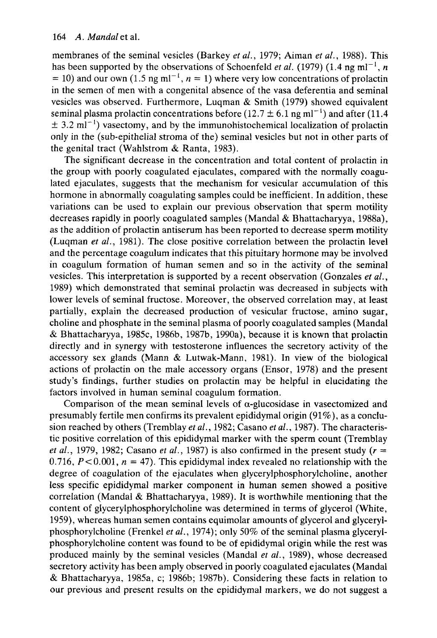164 A. Mandal et al.<br>membranes of the seminal vesicles (Barkey *et al.*, 1979; Aiman *et al.*, 1988). This 164 A. Mandal et al.<br>membranes of the seminal vesicles (Barkey *et al.*, 1979; Aiman *et al.*, 1988). This<br>has been supported by the observations of Schoenfeld *et al.* (1979) (1.4 ng ml<sup>-1</sup>, *n*<br>= 10) and our own (1.5 ng in the semen of men with a congenital absence of the vasa deferentia and seminal has been supported by the observations of Schoenfeld et al. (1979) (1.4 ng  $=$  10) and our own (1.5 ng ml<sup>-1</sup>,  $n = 1$ ) where very low concentrations of prolactin 3). This<br>ml<sup>-1</sup>, *n*<br>rolactin vesicles was observed. Furthermore, Luqman & Smith (1979) showed equivalent only in the (sub-epithelial stroma of the) seminal vesicles but not in other parts of seminal plasma prolactin concentrations before (12.7  $\pm$  6.1 ng ml<sup>-1</sup>) and after (11.4  $\pm$  3.2 ml<sup>-1</sup>) vasectomy, and by the immunohistochemical localization of prolactin the genital tract (Wahlstrom & Ranta, 1983).

The significant decrease in the concentration and total content of prolactin in the group with poorly coagulated ejaculates, compared with the normally coagulated ejaculates, suggests that the mechanism for vesicular accumulation of this hormone in abnormally coagulating samples could be inefficient. In addition, these variations can be used to explain our previous observation that sperm motility decreases rapidly in poorly coagulated samples (Mandal & Bhattacharyya, 1988a), as the addition of prolactin antiserum has been reported to decrease sperm motility (Luqman *et al.,* 1981). The close positive correlation between the prolactin level and the percentage coagulum indicates that this pituitary hormone may be involved in coagulum formation of human semen and so in the activity of the seminal vesicles. This interpretation is supported by a recent observation (Gonzales **ef** af., 1989) which demonstrated that seminal prolactin was decreased in subjects with lower levels of seminal fructose. Moreover, the observed correlation may, at least partially, explain the decreased production of vesicular fructose, amino sugar, choline and phosphate in the seminal plasma of poorly coagulated samples (Mandal & Bhattacharyya, 1985c, 1986b, 1987b, 1990a), because it is known that prolactin directly and in synergy with testosterone influences the secretory activity of the accessory sex glands (Mann & Lutwak-Mann, 1981). In view of the biological actions of prolactin on the male accessory organs (Ensor, 1978) and the present study's findings, further studies on prolactin may be helpful in elucidating the factors involved in human seminal coagulum formation.

Comparison of the mean seminal levels of  $\alpha$ -glucosidase in vasectomized and presumably fertile men confirms its prevalent epididymal origin (91%), as a conclusion reached by others (Tremblay *et al.,* 1982; Casano *et* af., 1987). The characteristic positive correlation of this epididymal marker with the sperm count (Tremblay *et al.*, 1979, 1982; Casano *et al.*, 1987) is also confirmed in the present study  $(r =$ 0.716,  $P < 0.001$ ,  $n = 47$ ). This epididymal index revealed no relationship with the degree of coagulation of the ejaculates when glycerylphosphorylcholine, another less specific epididymal marker component in human semen showed a positive correlation (Mandal & Bhattacharyya, 1989). It is worthwhile mentioning that the content of glycerylphosphorylcholine was determined in terms of glycerol (White, 1959), whereas human semen contains equimolar amounts of glycerol and glycerylphosphorylcholine (Frenkel *et al.,* 1974); only 50% of the seminal plasma glycerylphosphorylcholine content was found to be of epididymal origin while the rest was produced mainly by the seminal vesicles (Mandal *et al.,* 1989), whose decreased secretory activity has been amply observed in poorly coagulated ejaculates (Mandal & Bhattacharyya, 1985a, c; 1986b; 1987b). Considering these facts in relation to our previous and present results on the epididymal markers, we do not suggest a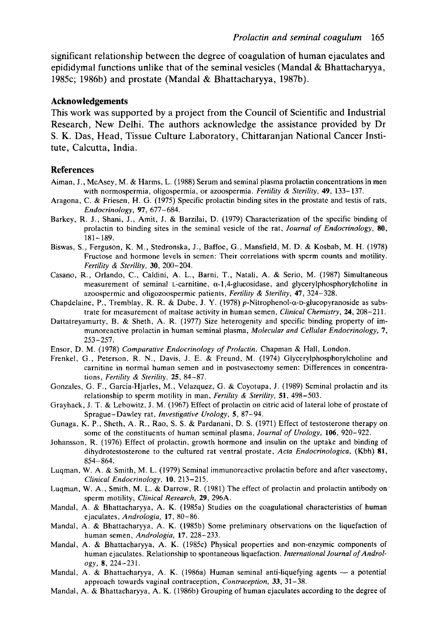*Prolactin and seminal coagulum* 165<br>*f* coagulation of human ejaculates and significant relationship between the degree of coagulation of human ejaculates and epididymal functions unlike that of the seminal vesicles (Mandal & Bhattacharyya, Prolactin and seminal coagulum 165<br>significant relationship between the degree of coagulation of human ejaculates and<br>epididymal functions unlike that of the seminal vesicles (Mandal & Bhattacharyya,<br>1985c; 1986b) and pros 1985c; 1986b) and prostate (Mandal & Bhattacharyya, 1987b). **zal coagulum 165**<br>**zimponmedia**<br>**Example 28**<br>**Example 28**<br>**Example 28**<br>**Example 28** 

#### **Acknowledgements**

This work was supported by a project from the Council of Scientific and Industrial Research, New Delhi. The authors acknowledge the assistance provided by Dr **S.** K. Das, Head, Tissue Culture Laboratory, Chittaranjan National Cancer Institute, Calcutta, India.

#### **References**

- Aiman, J., McAsey, M. & Harms, L. (1988) Serum and seminal plasma prolactin concentrations in men<br>with normospermia, oligospermia, or azoospermia. *Fertility & Sterility*, 49, 133–137. with normospermia, oligospermia, or azoospermia. *Fertility & Sterility*, **49**, 133-137.<br>C. & Friesen, H. G. (1988) Serum and seminal plasma prolactin concentrations in men<br>with normospermia, oligospermia, or azoospermia.
- Aragona, C. & Friesen, **H.** G. (1975) Specific prolactin binding sites in the prostate and testis of rats, *Endocrinology,* **97,** 677-684.
- References<br>
Aiman, J., McAsey, M. & Harms, L. (1988) Serum and seminal plasma prolactin concentrations in men<br>
with normospermia, oligospermia, or azoospermia. *Fertility & Sterility*, 49, 133-137.<br>
Aragona, C. & Friesen, prolactin to binding sites in the seminal vesicle of the rat, *Journal* of *Endocrinology, 80,*  181-189.
- Biswas, **S.,** Ferguson, K. M., Stedronska, J., Baffoe, G., Mansfield, M. D. & Kosbab, M. H. (1978) Fructose and hormone levels in semen: Their correlations with sperm counts and motility. *Fertility* & *Sterility, 30,* 200-204.
- Casano, R., Orlando, C., Caldini, **A.** L., Barni, T., Natali, A. & Serio, M. (1987) Simultaneous measurement of seminal L-carnitine, a-l,4-glucosidase, and **glycerylphosphorylcholine** in azoospermic and oligozoospermic patients, *Fertility* & *Sterility,* **47,** 324-328.
- Chapdelaine, P., Tremblay, R. R. & Dube, J. *Y.* (1978) **p-Nitrophenol-a-D-glucopyranoside** as substrate for measurement of maltase activity in human semen, *Clinical Chemistry,* **24,** 208-211.
- Dattatreyamurty, B. & Sheth, A. R. (1977) Size heterogenity and specific binding property of immunoreactive prolactin in human seminal plasma, *Molecular and Cellular Endocrinology,* **7,**   $253 - 257$ .
- Ensor, D. M. (1978) *Comparative Endocrinology* of *Prolactin.* Chapman & Hall, London.
- Frenkel, G., Peterson, R. N., Davis, J. E. & Freund, M. (1974) **Glycerylphosphorylcholine** and carnitine in normal human semen and in postvasectomy semen: Differences in concentrations, *Fertility* & *Sterility, 25,* 84-87.
- Gonzales, G. F., Garcia-Hjarles, M., Velazquez, G. & Coyotupa, J. (1989) Seminal prolactin and its relationship to sperm motility in man, *Fertility* & *Sterility,* **51,** 498-503.
- Grayhack, J. T. & Lebowitz, J. M. (1967) Effect of prolactin on citric acid of lateral lobe of prostate of Sprague-Dawley rat, *Investigative Urology, 5,* 87-94.
- Gunaga, K. P., Sheth, A. R., Rao, S. S. & Pardanani, D. S. (1971) Effect of testosterone therapy on some of the constituents of human seminal plasma, *Journal* of *Urology,* **106,** 920-922.
- Johansson, R. (1976) Effect of prolactin, growth hormone and insulin on the uptake and binding of dihydrotestosterone to the cultured rat ventral prostate, *Acta Endocrinologica,* (Kbh) **81,**  854-864.
- Luqman, W. A. & Smith, M. L. (1979) Seminal immunoreactive prolactin before and after vasectomy, *Clinical Endocrinology,* **10.** 213-215.
- Luqman, W. A., Smith, M, L. & Darrow, R. (1981) The effect of prolactin and prolactin antibody on sperm motility, *Clinical Research,* **29,** 296A.
- Mandal, A. & Bhattacharyya, A. K. (1985a) Studies on the coagulational characteristics of human ejaculates, *A ndrobgia,* **17,** 80- 86.
- Mandal, **A.** & Bhattacharyya, **A.** K. (1985b) Some preliminary observations on the liquefaction of human semen, *Andrologia,* **17,** 228-233.
- Mandal, A. & Bhattacharyya, A. K. (1985c) Physical properties and non-enzymic components of human ejaculates. Relationship to spontaneous liquefaction. *Jnternational Journal* of *Androl-Ogy,* **8,** 224-231.
- Mandal, A. & Bhattacharyya, A. K. (1986a) Human seminal anti-liquefying agents a potential approach towards vaginal contraception, *Contraception, 33,* 31-38.
- Mandal, A. & Bhattacharyya, A. K. (1986b) Grouping of human ejaculates according to the degree of